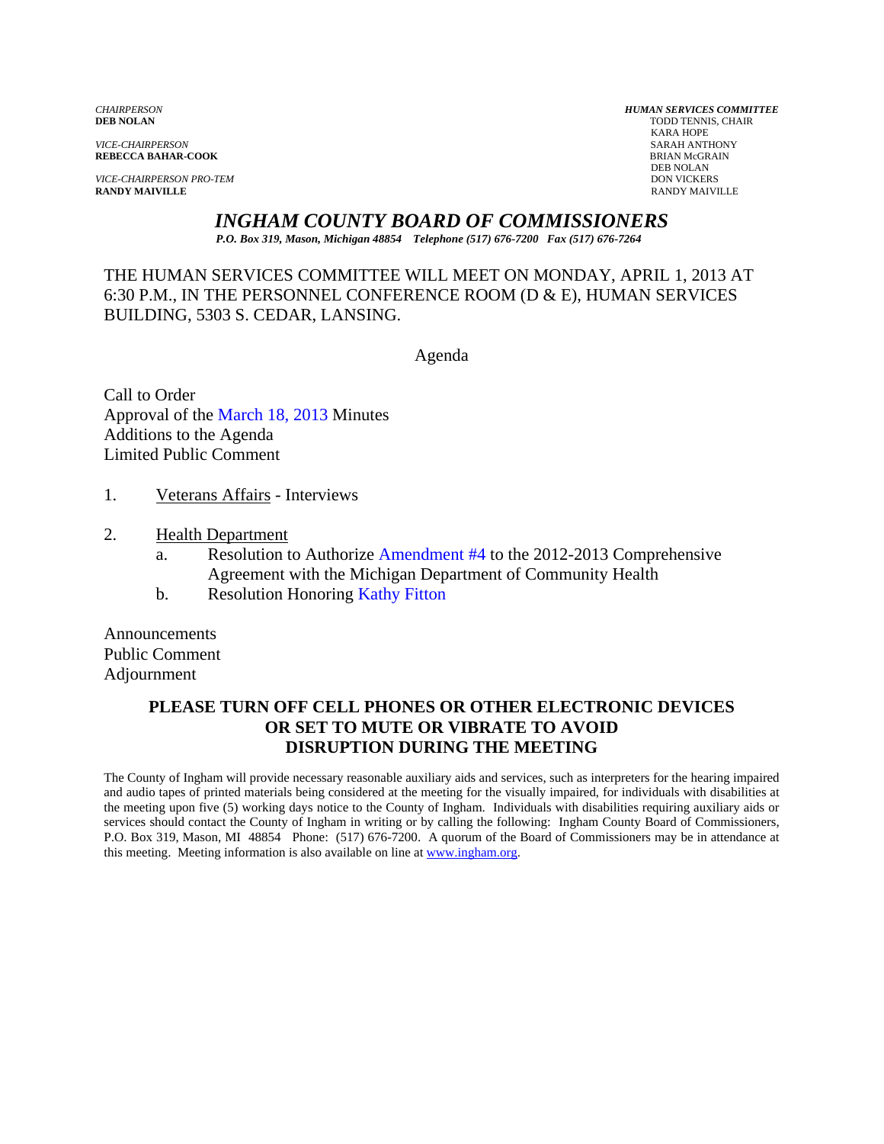*VICE-CHAIRPERSON* SARAH ANTHONY

*VICE-CHAIRPERSON PRO-TEM* DON VICKERS DON VICKERS DON VICKERS DON VICKERS DON VICKERS PANDY MAIVILLE **RANDY MAIVILLE** RANDY MAIVILLE

*CHAIRPERSON HUMAN SERVICES COMMITTEE* TODD TENNIS, CHAIR<br>KARA HOPE KARA HOPE **REBECCA BAHAR-COOK**<br>BRIAN McGR<br>DEB NOLAN DEB NOLAN

*INGHAM COUNTY BOARD OF COMMISSIONERS* 

*P.O. Box 319, Mason, Michigan 48854 Telephone (517) 676-7200 Fax (517) 676-7264*

THE HUMAN SERVICES COMMITTEE WILL MEET ON MONDAY, APRIL 1, 2013 AT 6:30 P.M., IN THE PERSONNEL CONFERENCE ROOM (D & E), HUMAN SERVICES BUILDING, 5303 S. CEDAR, LANSING.

Agenda

Call to Order Approva[l of the March 18, 2013 Minutes](#page-1-0)  Additions to the Agenda Limited Public Comment

- 1. Veterans Affairs Interviews
- 2. Health Department
	- a. Resolution to Authorize [Amendment #4 to the 2012-2013 Compre](#page-5-0)hensive Agreement with the Michigan Department of Community Health
	- b. Resolution Honorin[g Kathy Fitton](#page-7-0)

Announcements Public Comment Adjournment

### **PLEASE TURN OFF CELL PHONES OR OTHER ELECTRONIC DEVICES OR SET TO MUTE OR VIBRATE TO AVOID DISRUPTION DURING THE MEETING**

The County of Ingham will provide necessary reasonable auxiliary aids and services, such as interpreters for the hearing impaired and audio tapes of printed materials being considered at the meeting for the visually impaired, for individuals with disabilities at the meeting upon five (5) working days notice to the County of Ingham. Individuals with disabilities requiring auxiliary aids or services should contact the County of Ingham in writing or by calling the following: Ingham County Board of Commissioners, P.O. Box 319, Mason, MI 48854 Phone: (517) 676-7200. A quorum of the Board of Commissioners may be in attendance at this meeting. Meeting information is also available on line at www.ingham.org.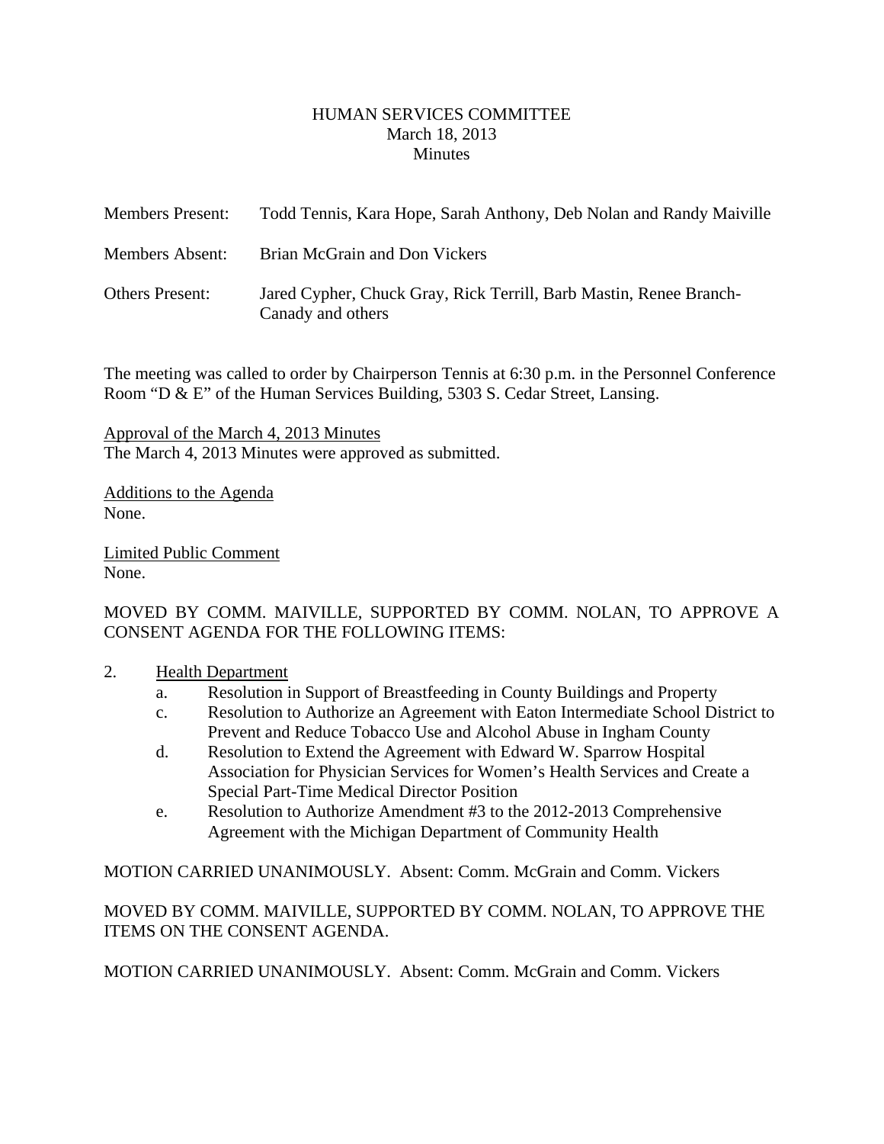#### HUMAN SERVICES COMMITTEE March 18, 2013 **Minutes**

<span id="page-1-0"></span>

| <b>Members Present:</b> | Todd Tennis, Kara Hope, Sarah Anthony, Deb Nolan and Randy Maiville                     |
|-------------------------|-----------------------------------------------------------------------------------------|
| <b>Members Absent:</b>  | Brian McGrain and Don Vickers                                                           |
| <b>Others Present:</b>  | Jared Cypher, Chuck Gray, Rick Terrill, Barb Mastin, Renee Branch-<br>Canady and others |

The meeting was called to order by Chairperson Tennis at 6:30 p.m. in the Personnel Conference Room "D & E" of the Human Services Building, 5303 S. Cedar Street, Lansing.

Approval of the March 4, 2013 Minutes The March 4, 2013 Minutes were approved as submitted.

Additions to the Agenda None.

Limited Public Comment None.

MOVED BY COMM. MAIVILLE, SUPPORTED BY COMM. NOLAN, TO APPROVE A CONSENT AGENDA FOR THE FOLLOWING ITEMS:

- 2. Health Department
	- a. Resolution in Support of Breastfeeding in County Buildings and Property
	- c. Resolution to Authorize an Agreement with Eaton Intermediate School District to Prevent and Reduce Tobacco Use and Alcohol Abuse in Ingham County
	- d. Resolution to Extend the Agreement with Edward W. Sparrow Hospital Association for Physician Services for Women's Health Services and Create a Special Part-Time Medical Director Position
	- e. Resolution to Authorize Amendment #3 to the 2012-2013 Comprehensive Agreement with the Michigan Department of Community Health

MOTION CARRIED UNANIMOUSLY. Absent: Comm. McGrain and Comm. Vickers

MOVED BY COMM. MAIVILLE, SUPPORTED BY COMM. NOLAN, TO APPROVE THE ITEMS ON THE CONSENT AGENDA.

MOTION CARRIED UNANIMOUSLY. Absent: Comm. McGrain and Comm. Vickers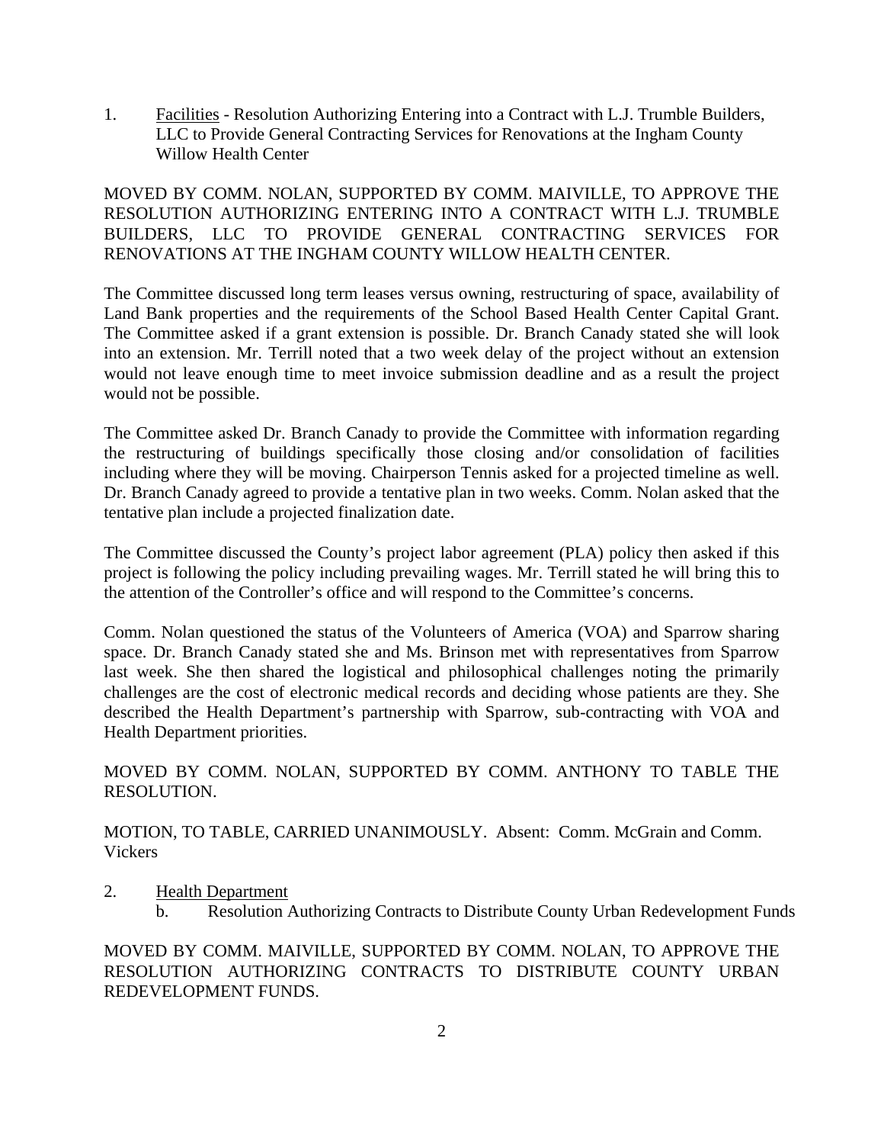1. Facilities - Resolution Authorizing Entering into a Contract with L.J. Trumble Builders, LLC to Provide General Contracting Services for Renovations at the Ingham County Willow Health Center

MOVED BY COMM. NOLAN, SUPPORTED BY COMM. MAIVILLE, TO APPROVE THE RESOLUTION AUTHORIZING ENTERING INTO A CONTRACT WITH L.J. TRUMBLE BUILDERS, LLC TO PROVIDE GENERAL CONTRACTING SERVICES FOR RENOVATIONS AT THE INGHAM COUNTY WILLOW HEALTH CENTER.

The Committee discussed long term leases versus owning, restructuring of space, availability of Land Bank properties and the requirements of the School Based Health Center Capital Grant. The Committee asked if a grant extension is possible. Dr. Branch Canady stated she will look into an extension. Mr. Terrill noted that a two week delay of the project without an extension would not leave enough time to meet invoice submission deadline and as a result the project would not be possible.

The Committee asked Dr. Branch Canady to provide the Committee with information regarding the restructuring of buildings specifically those closing and/or consolidation of facilities including where they will be moving. Chairperson Tennis asked for a projected timeline as well. Dr. Branch Canady agreed to provide a tentative plan in two weeks. Comm. Nolan asked that the tentative plan include a projected finalization date.

The Committee discussed the County's project labor agreement (PLA) policy then asked if this project is following the policy including prevailing wages. Mr. Terrill stated he will bring this to the attention of the Controller's office and will respond to the Committee's concerns.

Comm. Nolan questioned the status of the Volunteers of America (VOA) and Sparrow sharing space. Dr. Branch Canady stated she and Ms. Brinson met with representatives from Sparrow last week. She then shared the logistical and philosophical challenges noting the primarily challenges are the cost of electronic medical records and deciding whose patients are they. She described the Health Department's partnership with Sparrow, sub-contracting with VOA and Health Department priorities.

MOVED BY COMM. NOLAN, SUPPORTED BY COMM. ANTHONY TO TABLE THE RESOLUTION.

MOTION, TO TABLE, CARRIED UNANIMOUSLY. Absent: Comm. McGrain and Comm. Vickers

- 2. Health Department
	- b. Resolution Authorizing Contracts to Distribute County Urban Redevelopment Funds

MOVED BY COMM. MAIVILLE, SUPPORTED BY COMM. NOLAN, TO APPROVE THE RESOLUTION AUTHORIZING CONTRACTS TO DISTRIBUTE COUNTY URBAN REDEVELOPMENT FUNDS.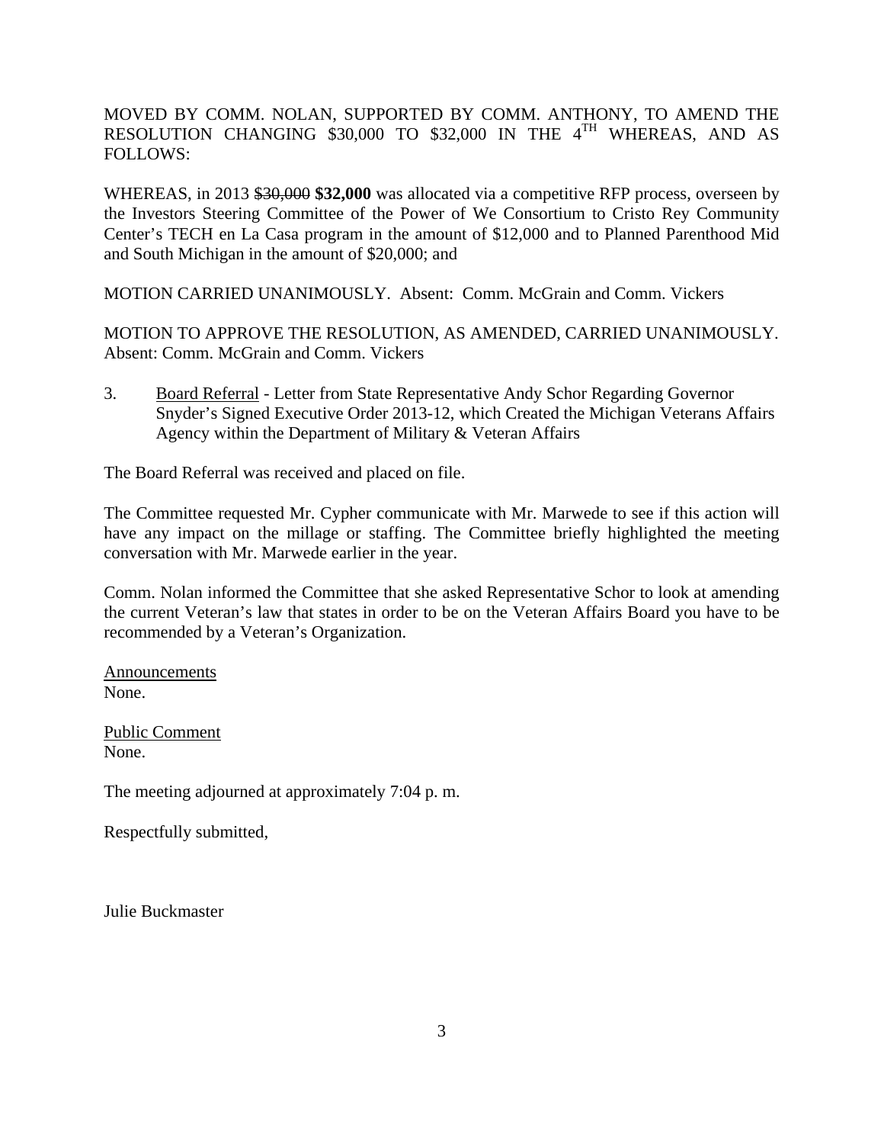MOVED BY COMM. NOLAN, SUPPORTED BY COMM. ANTHONY, TO AMEND THE RESOLUTION CHANGING \$30,000 TO \$32,000 IN THE 4TH WHEREAS, AND AS FOLLOWS:

WHEREAS, in 2013 \$30,000 \$32,000 was allocated via a competitive RFP process, overseen by the Investors Steering Committee of the Power of We Consortium to Cristo Rey Community Center's TECH en La Casa program in the amount of \$12,000 and to Planned Parenthood Mid and South Michigan in the amount of \$20,000; and

MOTION CARRIED UNANIMOUSLY. Absent: Comm. McGrain and Comm. Vickers

MOTION TO APPROVE THE RESOLUTION, AS AMENDED, CARRIED UNANIMOUSLY. Absent: Comm. McGrain and Comm. Vickers

3. Board Referral - Letter from State Representative Andy Schor Regarding Governor Snyder's Signed Executive Order 2013-12, which Created the Michigan Veterans Affairs Agency within the Department of Military & Veteran Affairs

The Board Referral was received and placed on file.

The Committee requested Mr. Cypher communicate with Mr. Marwede to see if this action will have any impact on the millage or staffing. The Committee briefly highlighted the meeting conversation with Mr. Marwede earlier in the year.

Comm. Nolan informed the Committee that she asked Representative Schor to look at amending the current Veteran's law that states in order to be on the Veteran Affairs Board you have to be recommended by a Veteran's Organization.

Announcements None.

Public Comment None.

The meeting adjourned at approximately 7:04 p. m.

Respectfully submitted,

Julie Buckmaster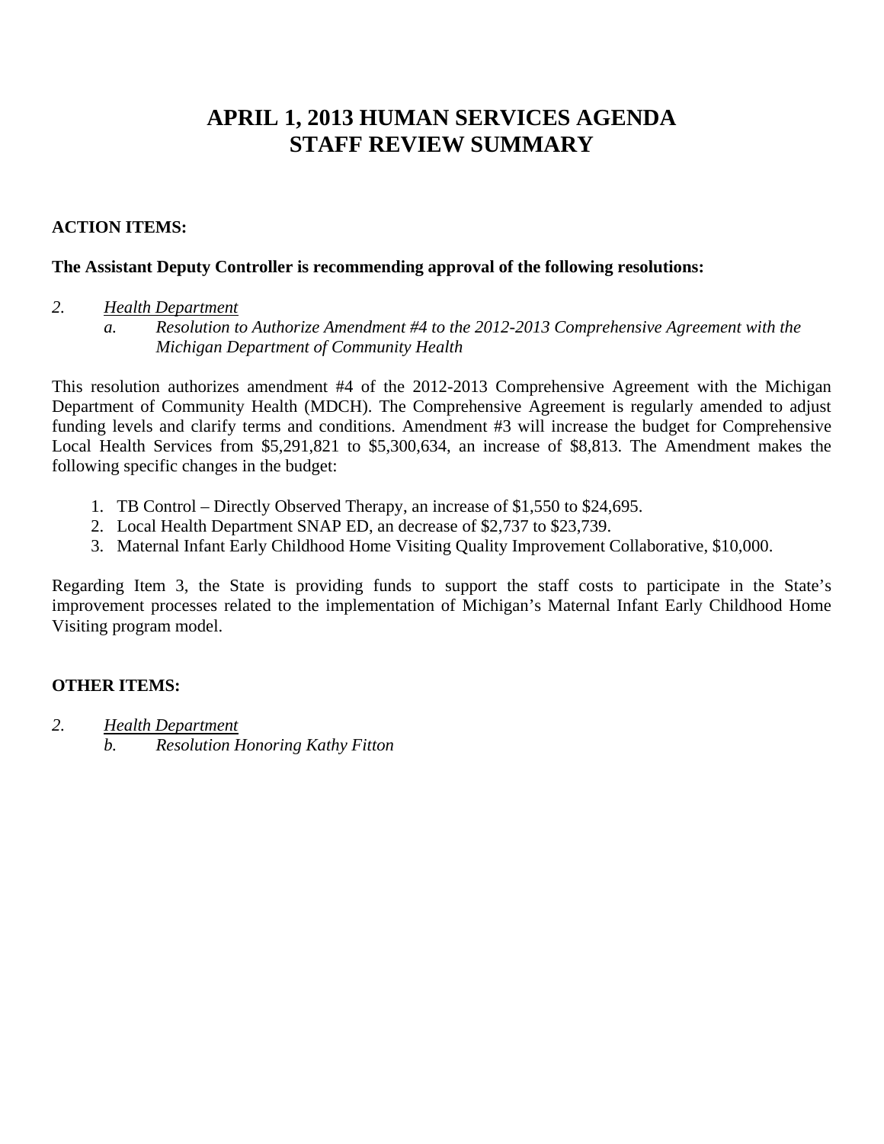# **APRIL 1, 2013 HUMAN SERVICES AGENDA STAFF REVIEW SUMMARY**

#### **ACTION ITEMS:**

#### **The Assistant Deputy Controller is recommending approval of the following resolutions:**

#### *2. Health Department*

*a. Resolution to Authorize Amendment #4 to the 2012-2013 Comprehensive Agreement with the Michigan Department of Community Health* 

This resolution authorizes amendment #4 of the 2012-2013 Comprehensive Agreement with the Michigan Department of Community Health (MDCH). The Comprehensive Agreement is regularly amended to adjust funding levels and clarify terms and conditions. Amendment #3 will increase the budget for Comprehensive Local Health Services from \$5,291,821 to \$5,300,634, an increase of \$8,813. The Amendment makes the following specific changes in the budget:

- 1. TB Control Directly Observed Therapy, an increase of \$1,550 to \$24,695.
- 2. Local Health Department SNAP ED, an decrease of \$2,737 to \$23,739.
- 3. Maternal Infant Early Childhood Home Visiting Quality Improvement Collaborative, \$10,000.

Regarding Item 3, the State is providing funds to support the staff costs to participate in the State's improvement processes related to the implementation of Michigan's Maternal Infant Early Childhood Home Visiting program model.

#### **OTHER ITEMS:**

*2. Health Department b. Resolution Honoring Kathy Fitton*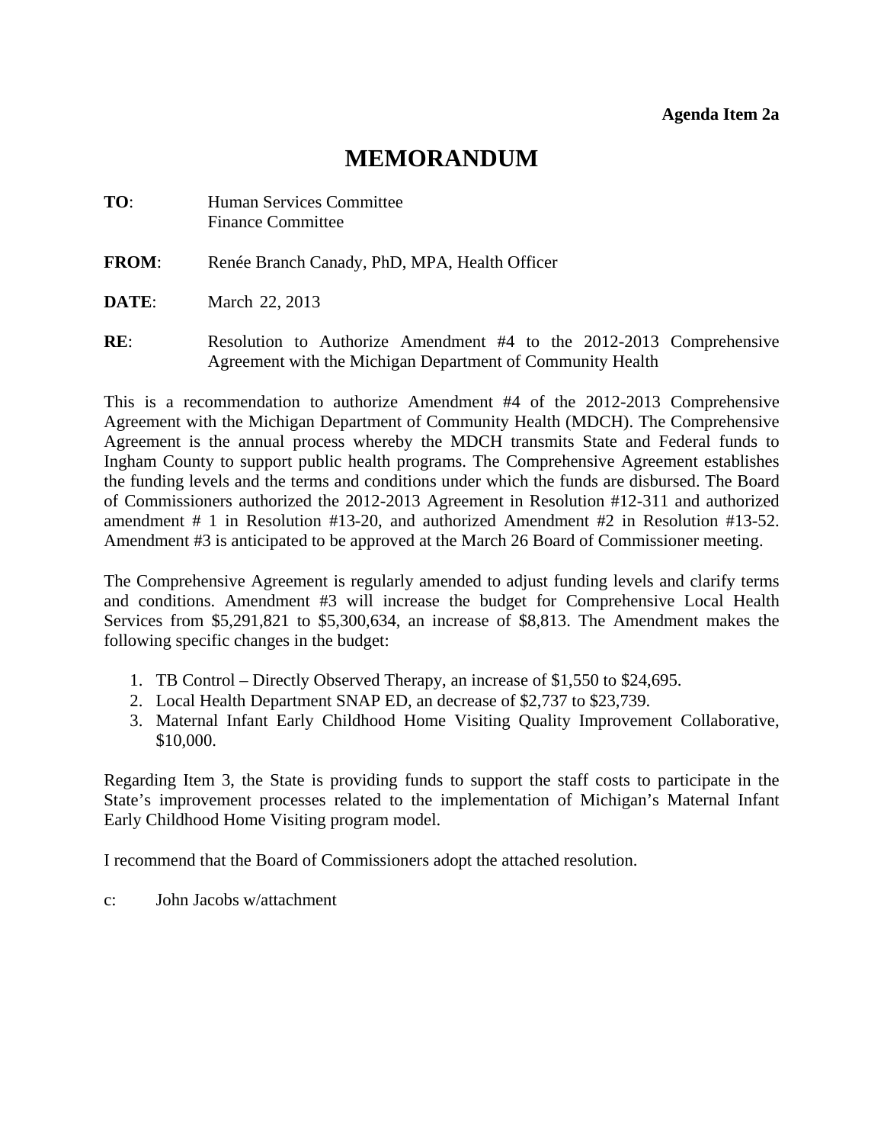# **MEMORANDUM**

<span id="page-5-0"></span>

| TO: | Human Services Committee |
|-----|--------------------------|
|     | <b>Finance Committee</b> |

- **FROM**: Renée Branch Canady, PhD, MPA, Health Officer
- **DATE:** March 22, 2013
- **RE:** Resolution to Authorize Amendment #4 to the 2012-2013 Comprehensive Agreement with the Michigan Department of Community Health

This is a recommendation to authorize Amendment #4 of the 2012-2013 Comprehensive Agreement with the Michigan Department of Community Health (MDCH). The Comprehensive Agreement is the annual process whereby the MDCH transmits State and Federal funds to Ingham County to support public health programs. The Comprehensive Agreement establishes the funding levels and the terms and conditions under which the funds are disbursed. The Board of Commissioners authorized the 2012-2013 Agreement in Resolution #12-311 and authorized amendment # 1 in Resolution #13-20, and authorized Amendment #2 in Resolution #13-52. Amendment #3 is anticipated to be approved at the March 26 Board of Commissioner meeting.

The Comprehensive Agreement is regularly amended to adjust funding levels and clarify terms and conditions. Amendment #3 will increase the budget for Comprehensive Local Health Services from \$5,291,821 to \$5,300,634, an increase of \$8,813. The Amendment makes the following specific changes in the budget:

- 1. TB Control Directly Observed Therapy, an increase of \$1,550 to \$24,695.
- 2. Local Health Department SNAP ED, an decrease of \$2,737 to \$23,739.
- 3. Maternal Infant Early Childhood Home Visiting Quality Improvement Collaborative, \$10,000.

Regarding Item 3, the State is providing funds to support the staff costs to participate in the State's improvement processes related to the implementation of Michigan's Maternal Infant Early Childhood Home Visiting program model.

I recommend that the Board of Commissioners adopt the attached resolution.

c: John Jacobs w/attachment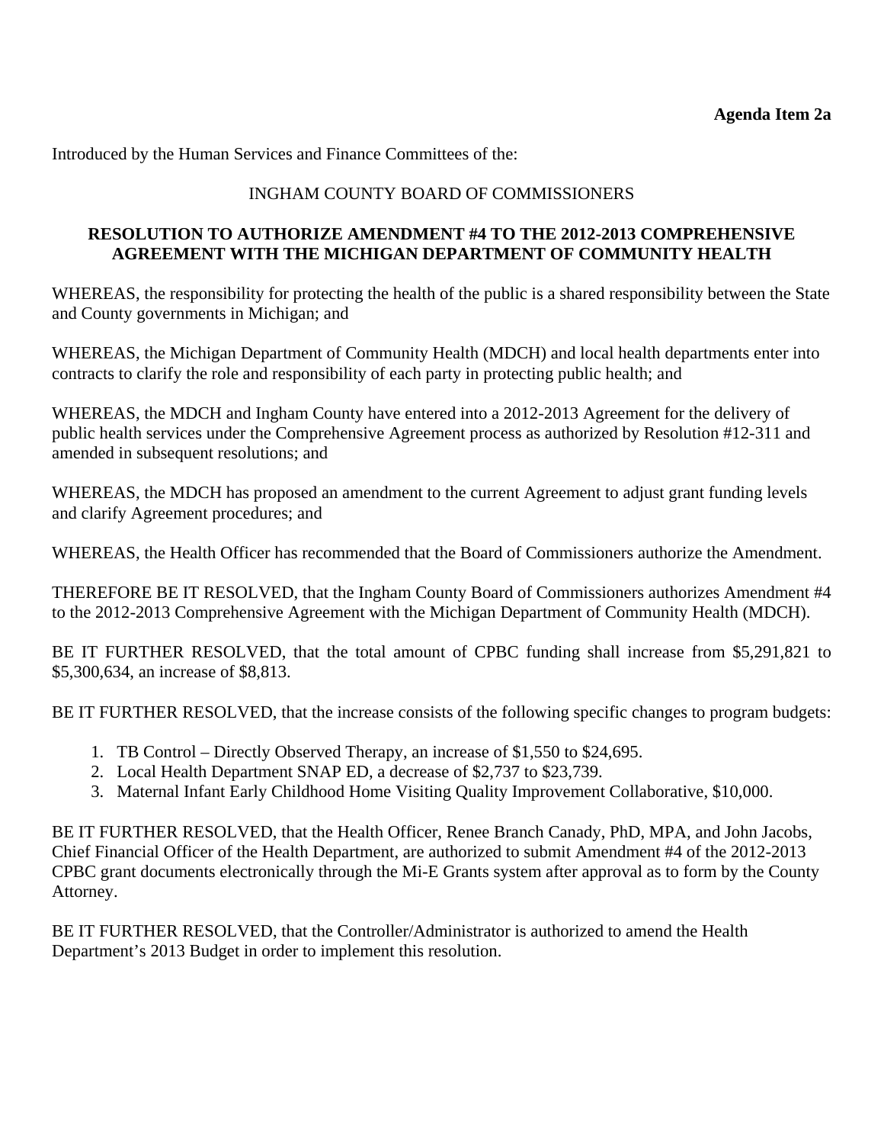Introduced by the Human Services and Finance Committees of the:

## INGHAM COUNTY BOARD OF COMMISSIONERS

#### **RESOLUTION TO AUTHORIZE AMENDMENT #4 TO THE 2012-2013 COMPREHENSIVE AGREEMENT WITH THE MICHIGAN DEPARTMENT OF COMMUNITY HEALTH**

WHEREAS, the responsibility for protecting the health of the public is a shared responsibility between the State and County governments in Michigan; and

WHEREAS, the Michigan Department of Community Health (MDCH) and local health departments enter into contracts to clarify the role and responsibility of each party in protecting public health; and

WHEREAS, the MDCH and Ingham County have entered into a 2012-2013 Agreement for the delivery of public health services under the Comprehensive Agreement process as authorized by Resolution #12-311 and amended in subsequent resolutions; and

WHEREAS, the MDCH has proposed an amendment to the current Agreement to adjust grant funding levels and clarify Agreement procedures; and

WHEREAS, the Health Officer has recommended that the Board of Commissioners authorize the Amendment.

THEREFORE BE IT RESOLVED, that the Ingham County Board of Commissioners authorizes Amendment #4 to the 2012-2013 Comprehensive Agreement with the Michigan Department of Community Health (MDCH).

BE IT FURTHER RESOLVED, that the total amount of CPBC funding shall increase from \$5,291,821 to \$5,300,634, an increase of \$8,813.

BE IT FURTHER RESOLVED, that the increase consists of the following specific changes to program budgets:

- 1. TB Control Directly Observed Therapy, an increase of \$1,550 to \$24,695.
- 2. Local Health Department SNAP ED, a decrease of \$2,737 to \$23,739.
- 3. Maternal Infant Early Childhood Home Visiting Quality Improvement Collaborative, \$10,000.

BE IT FURTHER RESOLVED, that the Health Officer, Renee Branch Canady, PhD, MPA, and John Jacobs, Chief Financial Officer of the Health Department, are authorized to submit Amendment #4 of the 2012-2013 CPBC grant documents electronically through the Mi-E Grants system after approval as to form by the County Attorney.

BE IT FURTHER RESOLVED, that the Controller/Administrator is authorized to amend the Health Department's 2013 Budget in order to implement this resolution.